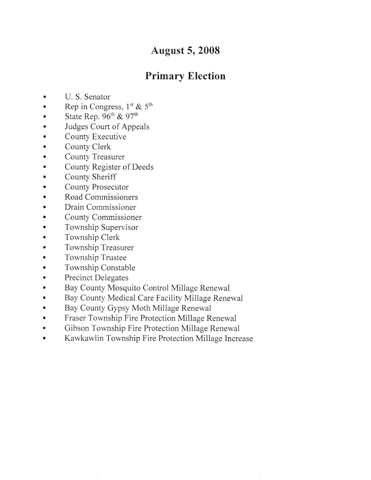## August 5,2008

## Primary Election

- U. S. Senator  $\bullet$
- Rep in Congress,  $1^{st}$  & 5<sup>th</sup>  $\bullet$
- State Rep.  $96^{\text{th}}$  &  $97^{\text{th}}$  $\bullet$
- a Judges Court of Appeals
- a County Executive
- a County Clerk
- a County Treasurer
- a County Register of Deeds
- a County Sheriff
- a County Prosecutor
- a Road Commissioners
- a Drain Commissioner
- a County Commissioner
- a Township Supervisor
- a Township Clerk
- a Township Treasurer
- a Township Trustee
- a Township Constable
- a Precinct Delegates
- a Bay County Mosquito Control Millage Renewal
- a Bay County Medical Care Facility Millage Renewal
- a Bay County Gypsy Moth Millage Renewal
- a Fraser Township Fire Protection Millage Renewal
- a Gibson Township Fire Protection Millage Renewal
- a Kawkawlin Township Fire Protection Millage Increase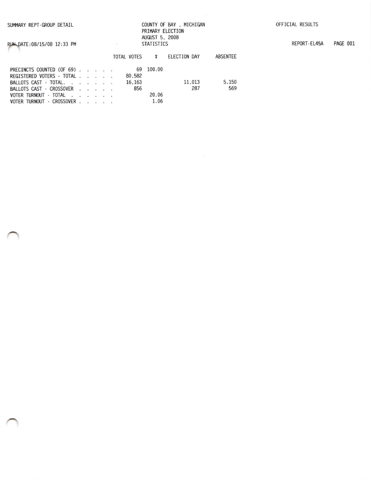RUM\_DATE:08/15/08 12:33 PM

## COUNTY OF BAY, MICHIGAN PRIMARY ELECTION AUGUST 5, 2008 **STATISTICS**

REPORT-EL45A PAGE 001

|                           |  |  |        |           | TOTAL VOTES # ELECTION DAY | ABSENTEE |
|---------------------------|--|--|--------|-----------|----------------------------|----------|
| PRECINCTS COUNTED (OF 69) |  |  |        | 69 100.00 |                            |          |
| REGISTERED VOTERS - TOTAL |  |  | 80.582 |           |                            |          |
| BALLOTS CAST - TOTAL.     |  |  | 16.163 |           | 11.013                     | 5.150    |
| BALLOTS CAST - CROSSOVER  |  |  | 856    |           | 287                        | 569      |
| VOTER TURNOUT - TOTAL     |  |  |        | 20.06     |                            |          |
| VOTER TURNOUT - CROSSOVER |  |  |        | 1.06      |                            |          |

 $\lceil \frac{n}{2} \rceil$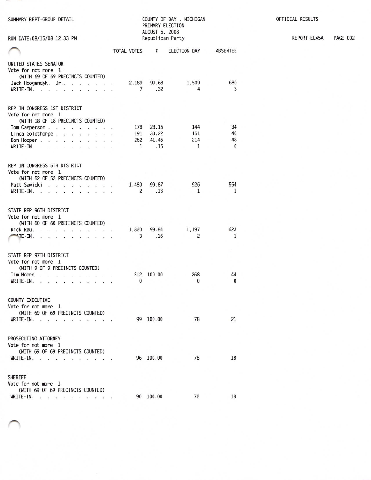| SUMMARY REPT-GROUP DETAIL                                                                                                                                                                                                                   |                          | PRIMARY ELECTION<br>AUGUST 5, 2008 | COUNTY OF BAY, MICHIGAN |                 | OFFICIAL RESULTS |
|---------------------------------------------------------------------------------------------------------------------------------------------------------------------------------------------------------------------------------------------|--------------------------|------------------------------------|-------------------------|-----------------|------------------|
| RUN DATE: 08/15/08 12:33 PM                                                                                                                                                                                                                 |                          | Republican Party                   |                         |                 | REPORT-EL45A     |
|                                                                                                                                                                                                                                             | TOTAL VOTES              | $\chi$                             | ELECTION DAY            | <b>ABSENTEE</b> |                  |
| UNITED STATES SENATOR<br>Vote for not more 1<br>(WITH 69 OF 69 PRECINCTS COUNTED)                                                                                                                                                           |                          |                                    |                         |                 |                  |
| Jack Hoogendyk, Jr<br>WRITE-IN.                                                                                                                                                                                                             | 2,189<br>$7\overline{ }$ | 99.68<br>.32                       | 1,509<br>4              | 680<br>3        |                  |
| REP IN CONGRESS 1ST DISTRICT<br>Vote for not more 1<br>(WITH 18 OF 18 PRECINCTS COUNTED)                                                                                                                                                    |                          |                                    |                         |                 |                  |
| Tom Casperson                                                                                                                                                                                                                               | 178                      | 28.16                              | 144                     | 34              |                  |
| Linda Goldthorpe.                                                                                                                                                                                                                           | 191                      | 30.22                              | 151                     | 40              |                  |
| Don Hooper.                                                                                                                                                                                                                                 | 262                      | 41.46                              | 214                     | 48              |                  |
| WRITE-IN.                                                                                                                                                                                                                                   | 1                        | .16                                | $\mathbf{1}$            | $\mathbf{0}$    |                  |
| REP IN CONGRESS 5TH DISTRICT<br>Vote for not more 1<br>(WITH 52 OF 52 PRECINCTS COUNTED)                                                                                                                                                    |                          |                                    |                         |                 |                  |
| Matt Sawicki                                                                                                                                                                                                                                | 1,480                    | 99.87                              | 926                     | 554             |                  |
| WRITE-IN.                                                                                                                                                                                                                                   | 2                        | .13                                | 1                       | 1               |                  |
| STATE REP 96TH DISTRICT<br>Vote for not more 1<br>(WITH 60 OF 60 PRECINCTS COUNTED)<br>Rick Rau.<br>$\blacksquare$ TE-IN.                                                                                                                   | 1,820<br>3               | 99.84<br>.16                       | 1,197<br>2              | 623<br>1        |                  |
| STATE REP 97TH DISTRICT<br>Vote for not more 1<br>(WITH 9 OF 9 PRECINCTS COUNTED)                                                                                                                                                           |                          |                                    |                         |                 |                  |
| Tim Moore<br>the contract of the contract of the contract of the contract of the contract of the contract of the contract of the contract of the contract of the contract of the contract of the contract of the contract of the contract o |                          | 312 100.00                         | 268                     | 44              |                  |
| WRITE-IN.                                                                                                                                                                                                                                   | $^{\circ}$               |                                    | $\bf{0}$                | 0               |                  |
| <b>COUNTY EXECUTIVE</b><br>Vote for not more 1<br>(WITH 69 OF 69 PRECINCTS COUNTED)                                                                                                                                                         |                          |                                    |                         |                 |                  |
| WRITE-IN.                                                                                                                                                                                                                                   |                          | 99 100.00                          | 78                      | 21              |                  |
| PROSECUTING ATTORNEY<br>Vote for not more 1<br>(WITH 69 OF 69 PRECINCTS COUNTED)<br>WRITE-IN.                                                                                                                                               |                          | 96 100.00                          | 78                      | 18              |                  |
|                                                                                                                                                                                                                                             |                          |                                    |                         |                 |                  |
| SHERIFF<br>Vote for not more 1<br>(WITH 69 OF 69 PRECINCTS COUNTED)                                                                                                                                                                         |                          |                                    |                         |                 |                  |
| <b>WRITE-IN.</b>                                                                                                                                                                                                                            |                          | 90 100.00                          | 72                      | 18              |                  |

**PAGE 002**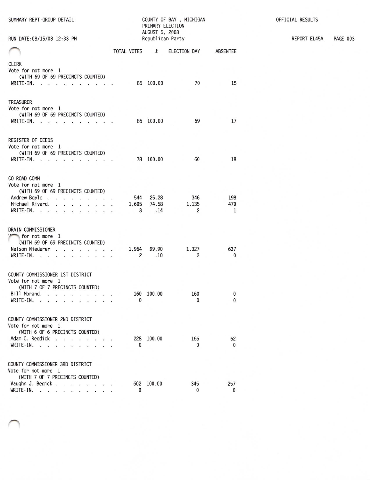| SUMMARY REPT-GROUP DETAIL<br>RUN DATE: 08/15/08 12:33 PM                                                                                                                                                                                                                                                                                        | COUNTY OF BAY, MICHIGAN<br>PRIMARY ELECTION<br>AUGUST 5, 2008<br>Republican Party |            |                             |                       |                            |  |  |
|-------------------------------------------------------------------------------------------------------------------------------------------------------------------------------------------------------------------------------------------------------------------------------------------------------------------------------------------------|-----------------------------------------------------------------------------------|------------|-----------------------------|-----------------------|----------------------------|--|--|
|                                                                                                                                                                                                                                                                                                                                                 |                                                                                   |            |                             |                       |                            |  |  |
|                                                                                                                                                                                                                                                                                                                                                 |                                                                                   |            | TOTAL VOTES %               | ELECTION DAY ABSENTEE |                            |  |  |
| <b>CLERK</b><br>Vote for not more 1<br>(WITH 69 OF 69 PRECINCTS COUNTED)<br>WRITE-IN.                                                                                                                                                                                                                                                           |                                                                                   |            | 85 100.00                   | 70                    | 15                         |  |  |
| <b>TREASURER</b><br>Vote for not more 1<br>(WITH 69 OF 69 PRECINCTS COUNTED)<br>$WRITE-IN.$<br>.                                                                                                                                                                                                                                                |                                                                                   |            | 86 100.00                   | 69                    | 17                         |  |  |
| <b>REGISTER OF DEEDS</b><br>Vote for not more 1<br>(WITH 69 OF 69 PRECINCTS COUNTED)<br>$WRITE-IN.$                                                                                                                                                                                                                                             |                                                                                   |            | 78 100.00                   | 60                    | 18                         |  |  |
| CO ROAD COMM<br>Vote for not more 1<br>(WITH 69 OF 69 PRECINCTS COUNTED)<br>Andrew Boyle<br>Michael Rivard.<br>WRITE-IN.<br>$\ddot{\phantom{1}}$<br><b>CALL ALL AND A REPORT</b>                                                                                                                                                                |                                                                                   | 544<br>3   | 25.28<br>1,605 74.58<br>.14 | 346<br>1,135<br>2     | 198<br>470<br>$\mathbf{1}$ |  |  |
| DRAIN COMMISSIONER<br>for not more 1<br>(WITH 69 OF 69 PRECINCTS COUNTED)<br>Nelson Niederer<br>$WRITE-IN.$ .<br>the contract of the contract of the contract of the contract of the contract of the contract of the contract of the contract of the contract of the contract of the contract of the contract of the contract of the contract o |                                                                                   | 1,964<br>2 | 99.90<br>.10                | 1,327<br>2            | 637<br>0                   |  |  |
| COUNTY COMMISSIONER 1ST DISTRICT<br>Vote for not more 1<br>(WITH 7 OF 7 PRECINCTS COUNTED)<br>Bill Morand.<br>WRITE-IN.                                                                                                                                                                                                                         |                                                                                   | 160<br>0   | 100.00                      | 160<br>0              | 0<br>$\mathbf{0}$          |  |  |
| COUNTY COMMISSIONER 2ND DISTRICT<br>Vote for not more 1<br>(WITH 6 OF 6 PRECINCTS COUNTED)<br>Adam C. Reddick<br>$\dddot{\phantom{1}}$<br>÷,<br>WRITE-IN.                                                                                                                                                                                       |                                                                                   | 228<br>0   | 100.00                      | 166<br>0              | 62<br>0                    |  |  |
| COUNTY COMMISSIONER 3RD DISTRICT<br>Vote for not more 1<br>(WITH 7 OF 7 PRECINCTS COUNTED)<br>Vaughn J. Begick.<br>$\mathbf{u} = \mathbf{u} \mathbf{u} + \mathbf{u} = \mathbf{u} \mathbf{u} + \mathbf{u} = \mathbf{u} \mathbf{u} + \mathbf{u}$<br>WRITE-IN.<br>and a strategic and<br>.                                                         |                                                                                   | 602<br>0   | 100.00                      | 345<br>0              | 257<br>0                   |  |  |

OFFICIAL RESULTS

REPORT-EL45A

**PAGE 003**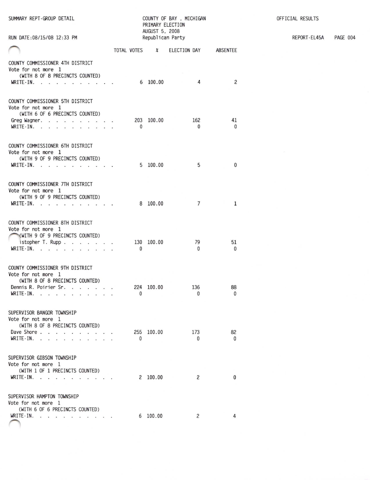| SUMMARY REPT-GROUP DETAIL<br>RUN DATE: 08/15/08 12:33 PM                                                                                               |                            | PRIMARY ELECTION<br>AUGUST 5, 2008<br>Republican Party | COUNTY OF BAY, MICHIGAN    |                    | OFFICIAL RESULTS<br>REPORT-EL45A<br>PAGE 004 |  |  |
|--------------------------------------------------------------------------------------------------------------------------------------------------------|----------------------------|--------------------------------------------------------|----------------------------|--------------------|----------------------------------------------|--|--|
|                                                                                                                                                        |                            |                                                        |                            |                    |                                              |  |  |
|                                                                                                                                                        |                            |                                                        | TOTAL VOTES % ELECTION DAY | <b>ABSENTEE</b>    |                                              |  |  |
| COUNTY COMMISSIONER 4TH DISTRICT<br>Vote for not more 1<br>(WITH 8 OF 8 PRECINCTS COUNTED)<br>WRITE-IN. $\cdots$                                       |                            | 6 100.00                                               | $\overline{4}$             | 2                  |                                              |  |  |
|                                                                                                                                                        |                            |                                                        |                            |                    |                                              |  |  |
| COUNTY COMMISSIONER 5TH DISTRICT<br>Vote for not more 1<br>(WITH 6 OF 6 PRECINCTS COUNTED)<br>Greg Wagner.<br>WRITE-IN. $\cdots$ $\cdots$ $\cdots$     | $\mathbf{0}$               | 203 100.00                                             | 162<br>$^{\circ}$          | 41<br>$\bf{0}$     |                                              |  |  |
| COUNTY COMMISSIONER 6TH DISTRICT<br>Vote for not more 1<br>(WITH 9 OF 9 PRECINCTS COUNTED)<br>WRITE-IN.                                                |                            | 5 100.00                                               | 5                          | $\bf{0}$           |                                              |  |  |
|                                                                                                                                                        |                            |                                                        |                            |                    |                                              |  |  |
| COUNTY COMMISSIONER 7TH DISTRICT<br>Vote for not more 1<br>(WITH 9 OF 9 PRECINCTS COUNTED)                                                             |                            |                                                        |                            |                    |                                              |  |  |
| WRITE-IN. $\cdots$                                                                                                                                     |                            | 8 100.00                                               | $7\overline{ }$            | $\mathbf{1}$       |                                              |  |  |
| COUNTY COMMISSIONER 8TH DISTRICT<br>Vote for not more 1<br>(WITH 9 OF 9 PRECINCTS COUNTED)<br>istopher T. Rupp $\ldots$ $\ldots$ $\ldots$<br>WRITE-IN. | 130 100.00<br>$\mathbf{0}$ |                                                        | 79<br>$\mathbf{0}$         | 51<br>$\mathbf{0}$ |                                              |  |  |
|                                                                                                                                                        |                            |                                                        |                            |                    |                                              |  |  |
| COUNTY COMMISSIONER 9TH DISTRICT<br>Vote for not more 1<br>(WITH 8 OF 8 PRECINCTS COUNTED)<br>Dennis R. Poirier Sr.<br>WRITE-IN.                       | $\Omega$                   |                                                        | 224 100.00 136<br>$\Omega$ | 88<br>$\Omega$     |                                              |  |  |
| SUPERVISOR BANGOR TOWNSHIP<br>Vote for not more 1<br>(WITH 8 OF 8 PRECINCTS COUNTED)                                                                   |                            |                                                        |                            |                    |                                              |  |  |
| Dave Shore<br>WRITE-IN.                                                                                                                                | $\mathbf{0}$               | 255 100.00                                             | 173<br>$\mathbf{0}$        | 82<br>$\Omega$     |                                              |  |  |
| SUPERVISOR GIBSON TOWNSHIP<br>Vote for not more 1<br>(WITH 1 OF 1 PRECINCTS COUNTED)                                                                   |                            |                                                        |                            |                    |                                              |  |  |
| WRITE-IN.                                                                                                                                              |                            | 2 100.00                                               | 2                          | $\Omega$           |                                              |  |  |
| SUPERVISOR HAMPTON TOWNSHIP<br>Vote for not more 1<br>(WITH 6 OF 6 PRECINCTS COUNTED)                                                                  |                            |                                                        |                            |                    |                                              |  |  |
| WRITE-IN.                                                                                                                                              |                            | 6 100.00                                               | 2                          | 4                  |                                              |  |  |
|                                                                                                                                                        |                            |                                                        |                            |                    |                                              |  |  |